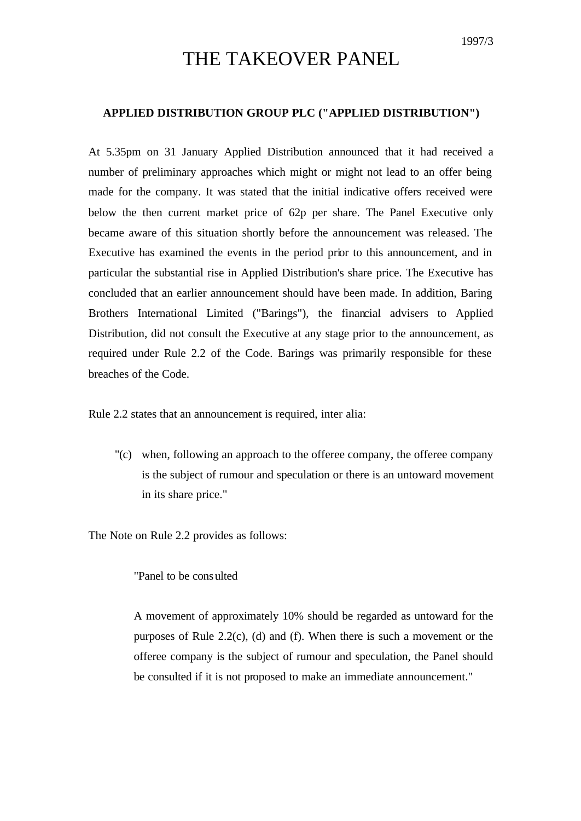## THE TAKEOVER PANEL

## **APPLIED DISTRIBUTION GROUP PLC ("APPLIED DISTRIBUTION")**

At 5.35pm on 31 January Applied Distribution announced that it had received a number of preliminary approaches which might or might not lead to an offer being made for the company. It was stated that the initial indicative offers received were below the then current market price of 62p per share. The Panel Executive only became aware of this situation shortly before the announcement was released. The Executive has examined the events in the period prior to this announcement, and in particular the substantial rise in Applied Distribution's share price. The Executive has concluded that an earlier announcement should have been made. In addition, Baring Brothers International Limited ("Barings"), the financial advisers to Applied Distribution, did not consult the Executive at any stage prior to the announcement, as required under Rule 2.2 of the Code. Barings was primarily responsible for these breaches of the Code.

Rule 2.2 states that an announcement is required, inter alia:

"(c) when, following an approach to the offeree company, the offeree company is the subject of rumour and speculation or there is an untoward movement in its share price."

The Note on Rule 2.2 provides as follows:

"Panel to be consulted

A movement of approximately 10% should be regarded as untoward for the purposes of Rule 2.2(c), (d) and (f). When there is such a movement or the offeree company is the subject of rumour and speculation, the Panel should be consulted if it is not proposed to make an immediate announcement."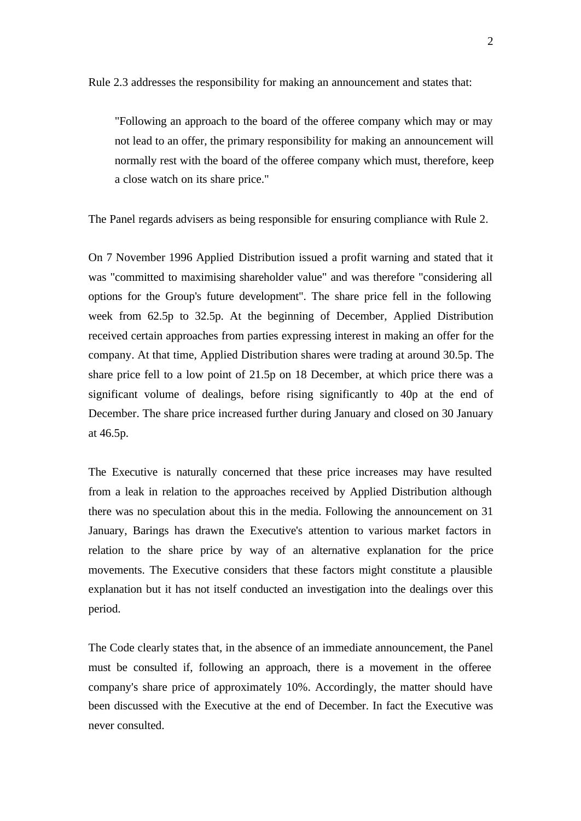Rule 2.3 addresses the responsibility for making an announcement and states that:

"Following an approach to the board of the offeree company which may or may not lead to an offer, the primary responsibility for making an announcement will normally rest with the board of the offeree company which must, therefore, keep a close watch on its share price."

The Panel regards advisers as being responsible for ensuring compliance with Rule 2.

On 7 November 1996 Applied Distribution issued a profit warning and stated that it was "committed to maximising shareholder value" and was therefore "considering all options for the Group's future development". The share price fell in the following week from 62.5p to 32.5p. At the beginning of December, Applied Distribution received certain approaches from parties expressing interest in making an offer for the company. At that time, Applied Distribution shares were trading at around 30.5p. The share price fell to a low point of 21.5p on 18 December, at which price there was a significant volume of dealings, before rising significantly to 40p at the end of December. The share price increased further during January and closed on 30 January at 46.5p.

The Executive is naturally concerned that these price increases may have resulted from a leak in relation to the approaches received by Applied Distribution although there was no speculation about this in the media. Following the announcement on 31 January, Barings has drawn the Executive's attention to various market factors in relation to the share price by way of an alternative explanation for the price movements. The Executive considers that these factors might constitute a plausible explanation but it has not itself conducted an investigation into the dealings over this period.

The Code clearly states that, in the absence of an immediate announcement, the Panel must be consulted if, following an approach, there is a movement in the offeree company's share price of approximately 10%. Accordingly, the matter should have been discussed with the Executive at the end of December. In fact the Executive was never consulted.